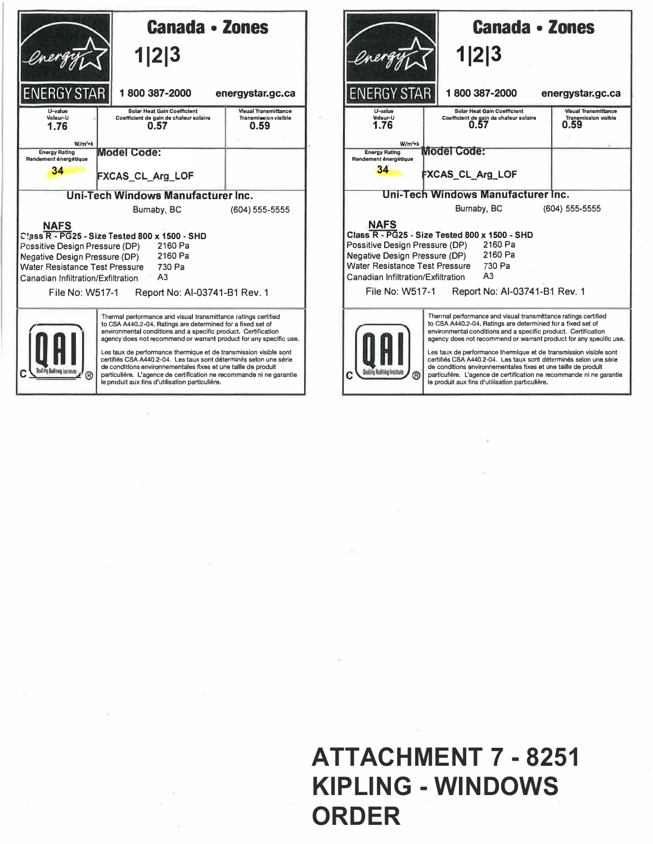|                                                                                                                                                                                                                                                                                                                                                                                                                                                                                                                                                                                                                   | <b>Canada · Zones</b><br>1 2 3                                                       |                                                             |  |  |
|-------------------------------------------------------------------------------------------------------------------------------------------------------------------------------------------------------------------------------------------------------------------------------------------------------------------------------------------------------------------------------------------------------------------------------------------------------------------------------------------------------------------------------------------------------------------------------------------------------------------|--------------------------------------------------------------------------------------|-------------------------------------------------------------|--|--|
| <b>ENERGY STAR</b>                                                                                                                                                                                                                                                                                                                                                                                                                                                                                                                                                                                                | 1800387-2000                                                                         | energystar.gc.ca                                            |  |  |
| U-value<br>Valeur-U<br>1.76<br>$W/m^2$ *k                                                                                                                                                                                                                                                                                                                                                                                                                                                                                                                                                                         | <b>Solar Heat Gain Coefficient</b><br>Coefficient de gain de chaleur solaire<br>0.57 | <b>Visual Transmittance</b><br>Transmission visible<br>0.59 |  |  |
| <b>Energy Rating</b><br>Rendement énergétique<br>34                                                                                                                                                                                                                                                                                                                                                                                                                                                                                                                                                               | <b>Model Code:</b><br>FXCAS_CL_Arg_LOF                                               |                                                             |  |  |
| Uni-Tech Windows Manufacturer Inc.                                                                                                                                                                                                                                                                                                                                                                                                                                                                                                                                                                                |                                                                                      |                                                             |  |  |
|                                                                                                                                                                                                                                                                                                                                                                                                                                                                                                                                                                                                                   | Burnaby, BC                                                                          | (604) 555-5555                                              |  |  |
| <b>NAFS</b><br>Class R - PG25 - Size Tested 800 x 1500 - SHD<br>2160 Pa<br>Possitive Design Pressure (DP)<br>2160 Pa<br><b>Negative Design Pressure (DP)</b><br>Water Resistance Test Pressure<br>730 Pa<br>A <sub>3</sub><br>Canadian Infiltration/Exfiltration<br>File No: W517-1<br>Report No: Al-03741-B1 Rev. 1                                                                                                                                                                                                                                                                                              |                                                                                      |                                                             |  |  |
| Thermal performance and visual transmittance ratings certified<br>to CSA A440.2-04. Ratings are determined for a fixed set of<br>environmental conditions and a specific product. Certification<br>agency does not recommend or warrant product for any specific use.<br>Les taux de performance thermique et de transmission visible sont<br>certifiés CSA A440.2-04. Les taux sont déterminés selon une série<br>de conditions environnementales fixes et une taille de produit<br>ര<br>particulière. L'agence de certification ne recommande ni ne garantie<br>le produit aux fins d'utilisation particulière. |                                                                                      |                                                             |  |  |



## **ATTACHMENT 7 - 8251 KIPLING - WINDOWS ORDER**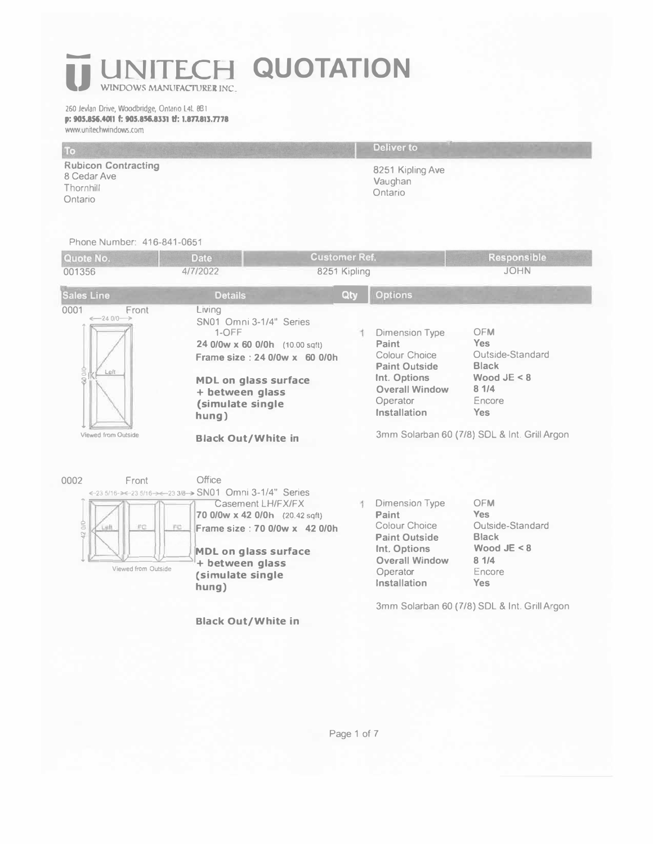## *UNITECH QUOTATION*

260 Jevlan Drive, Woodbridge, Ontario L4L 8B1 p: 905.856.4011 f: 905.856.8331 tf: 1.877.813.7778 www.un�echwindows.com

|                                                                   | Deliver to                             |
|-------------------------------------------------------------------|----------------------------------------|
| <b>Rubicon Contracting</b><br>8 Cedar Ave<br>Thornhill<br>Ontario | 8251 Kipling Ave<br>Vaughan<br>Ontario |

Phone Number: 416-841-0651

| Quote No.<br>001356                                                                       | <b>Date</b><br>4/7/2022                                                                                                                                                                                                                | <b>Customer Ref.</b><br>8251 Kipling |                                                                                                                                              | <b>Responsible</b><br><b>JOHN</b>                                                                                                                             |
|-------------------------------------------------------------------------------------------|----------------------------------------------------------------------------------------------------------------------------------------------------------------------------------------------------------------------------------------|--------------------------------------|----------------------------------------------------------------------------------------------------------------------------------------------|---------------------------------------------------------------------------------------------------------------------------------------------------------------|
| <b>Sales Line</b>                                                                         | <b>Details</b>                                                                                                                                                                                                                         | Qty                                  | <b>Options</b>                                                                                                                               |                                                                                                                                                               |
| Front<br>0001<br>$-2400 \rightarrow$<br>60010<br>Left<br>Viewed from Outside              | Living<br>SN01 Omni 3-1/4" Series<br>$1-OFF$<br>24 0/0w x 60 0/0h (10.00 sqft)<br>Frame size: 24 0/0w x 60 0/0h<br><b>MDL on glass surface</b><br>+ between glass<br>(simulate single<br>hung)<br><b>Black Out/White in</b>            |                                      | <b>Dimension Type</b><br>Paint<br>Colour Choice<br><b>Paint Outside</b><br>Int. Options<br><b>Overall Window</b><br>Operator<br>Installation | <b>OFM</b><br><b>Yes</b><br>Outside-Standard<br><b>Black</b><br>Wood $JE < 8$<br>81/4<br>Encore<br><b>Yes</b><br>3mm Solarban 60 (7/8) SDL & Int. Grill Argon |
| Front<br>0002<br>$rac{6}{2}$<br>FC<br>Lutt<br>FC<br>$\mathbb{S}^1$<br>Viewed from Outside | Office<br>←23 5/16->←23 5/16->←23 3/8-> SN01 Omni 3-1/4" Series<br>Casement LH/FX/FX<br>70 0/0w x 42 0/0h (20.42 sqft)<br>Frame size: 70 0/0w x 42 0/0h<br><b>MDL on glass surface</b><br>+ between glass<br>(simulate single<br>hung) |                                      | Dimension Type<br>Paint<br>Colour Choice<br><b>Paint Outside</b><br>Int. Options<br><b>Overall Window</b><br>Operator<br>Installation        | <b>OFM</b><br><b>Yes</b><br>Outside-Standard<br><b>Black</b><br>Wood $JE < 8$<br>81/4<br>Encore<br><b>Yes</b>                                                 |
|                                                                                           | <b>Black Out/White in</b>                                                                                                                                                                                                              |                                      |                                                                                                                                              | 3mm Solarban 60 (7/8) SDL & Int. Grill Argon                                                                                                                  |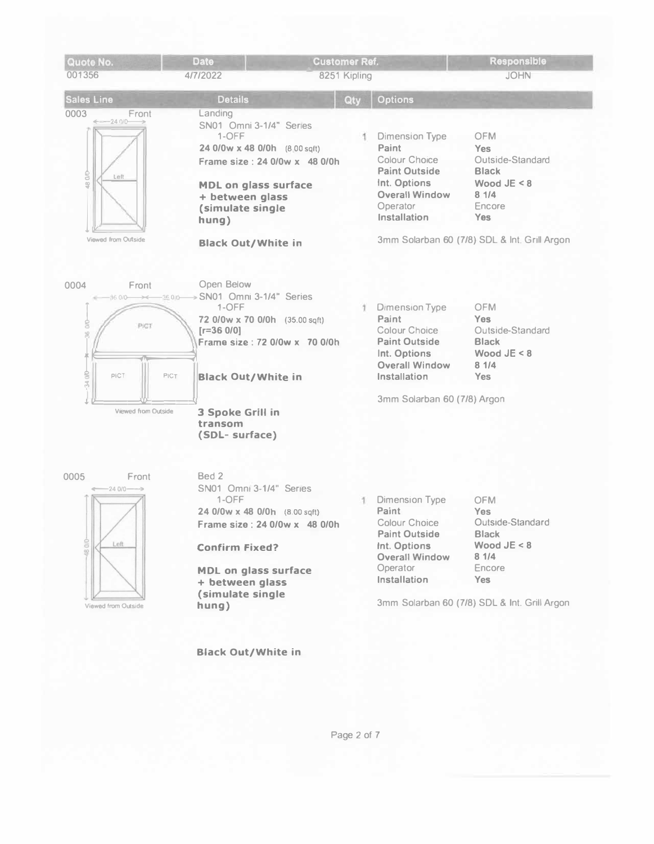

**Black Out/White in** 

Page 2 of 7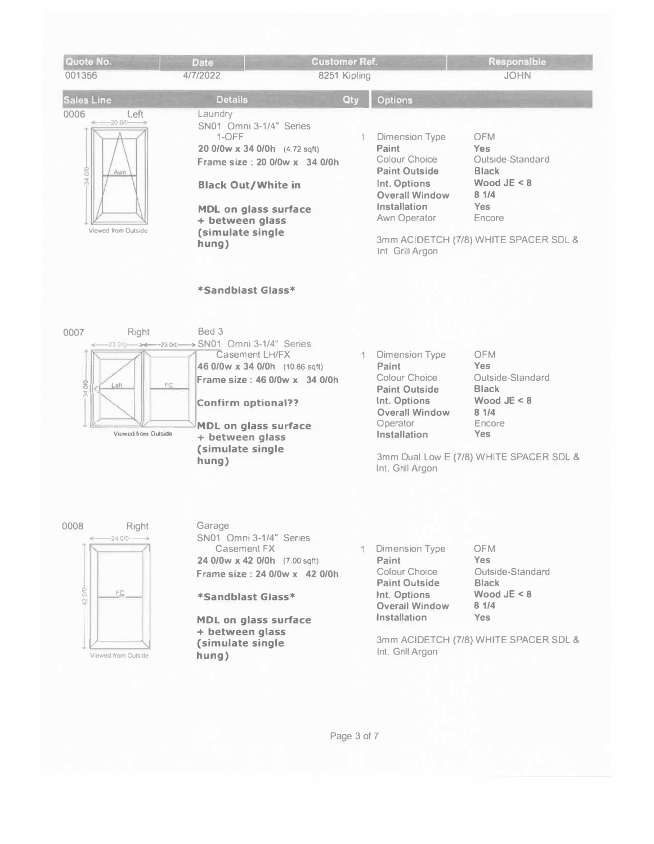| Quote No.<br>001356                                                                                                               | <b>Date</b><br>4/7/2022                                                                    |                                                                                                                                                       | <b>Customer Ref.</b><br>8251 Kipling |                                                                                                                                                                         | Responsible<br><b>JOHN</b>                                                                                                                                |
|-----------------------------------------------------------------------------------------------------------------------------------|--------------------------------------------------------------------------------------------|-------------------------------------------------------------------------------------------------------------------------------------------------------|--------------------------------------|-------------------------------------------------------------------------------------------------------------------------------------------------------------------------|-----------------------------------------------------------------------------------------------------------------------------------------------------------|
| <b>Sales Line</b>                                                                                                                 | <b>Details</b>                                                                             |                                                                                                                                                       | Qty                                  | <b>Options</b>                                                                                                                                                          |                                                                                                                                                           |
| 0006<br>Left<br>$-2000-$<br>$rac{1}{2}$<br>Awn<br>34<br>Viewed from Outside                                                       | Laundry<br>1-OFF<br>+ between glass<br>(simulate single<br>hung)<br>*Sandblast Glass*      | SN01 Omni 3-1/4" Series<br>20 0/0w x 34 0/0h (4.72 sqft)<br>Frame size: 20 0/0w x 34 0/0h<br><b>Black Out/White in</b><br><b>MDL on glass surface</b> | 1                                    | <b>Dimension Type</b><br>Paint<br>Colour Choice<br><b>Paint Outside</b><br>Int. Options<br><b>Overall Window</b><br>Installation<br>Awn Operator<br>Int. Grill Argon    | <b>OFM</b><br><b>Yes</b><br>Outside-Standard<br><b>Black</b><br>Wood $JE < 8$<br>81/4<br><b>Yes</b><br>Encore<br>3mm ACIDETCH (7/8) WHITE SPACER SDL &    |
| 0007<br>Right<br>23 0/0 - ><- -23 0/0 --- > SN01 Omni 3-1/4" Series<br>S)<br>Left<br>FC.<br>$\overline{z}$<br>Viewed from Outside | Bed 3<br><b>Confirm optional??</b><br>+ between glass<br>(simulate single<br>hung)         | Casement LH/FX<br>46 0/0w x 34 0/0h (10.86 sqft)<br>Frame size: 46 0/0w x 34 0/0h<br><b>MDL on glass surface</b>                                      | я                                    | <b>Dimension Type</b><br>Paint<br>Colour Choice<br><b>Paint Outside</b><br>Int. Options<br><b>Overall Window</b><br>Operator<br><b>Installation</b><br>Int. Grill Argon | <b>OFM</b><br><b>Yes</b><br>Outside-Standard<br><b>Black</b><br>Wood $JE < 8$<br>8 1/4<br>Encore<br><b>Yes</b><br>3mm Dual Low E (7/8) WHITE SPACER SDL & |
| 0008<br>Right<br>$\leftarrow$ 24 0/0 $\rightarrow$<br>42000<br>FC.<br>Viewed from Outside                                         | Garage<br>Casement FX<br>*Sandblast Glass*<br>+ between glass<br>(simulate single<br>hung) | SN01 Omni 3-1/4" Series<br>24 0/0w x 42 0/0h (7.00 sqft)<br>Frame size: 24 0/0w x 42 0/0h<br><b>MDL on glass surface</b>                              | 1                                    | Dimension Type<br>Paint<br><b>Colour Choice</b><br><b>Paint Outside</b><br>Int. Options<br><b>Overall Window</b><br>Installation<br>Int. Grill Argon                    | <b>OFM</b><br><b>Yes</b><br>Outside-Standard<br><b>Black</b><br>Wood $JE < 8$<br>81/4<br><b>Yes</b><br>3mm ACIDETCH (7/8) WHITE SPACER SDL &              |

Page 3 of 7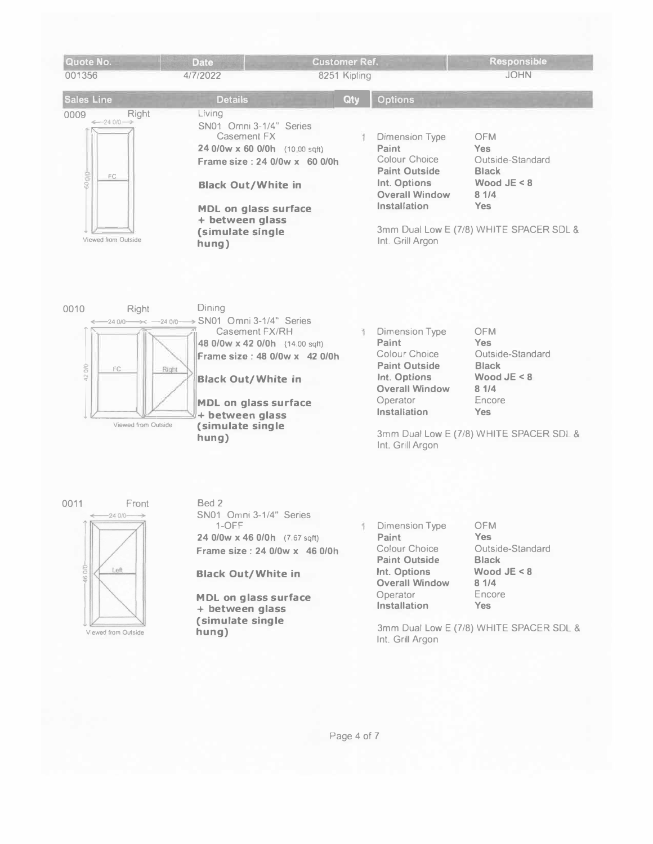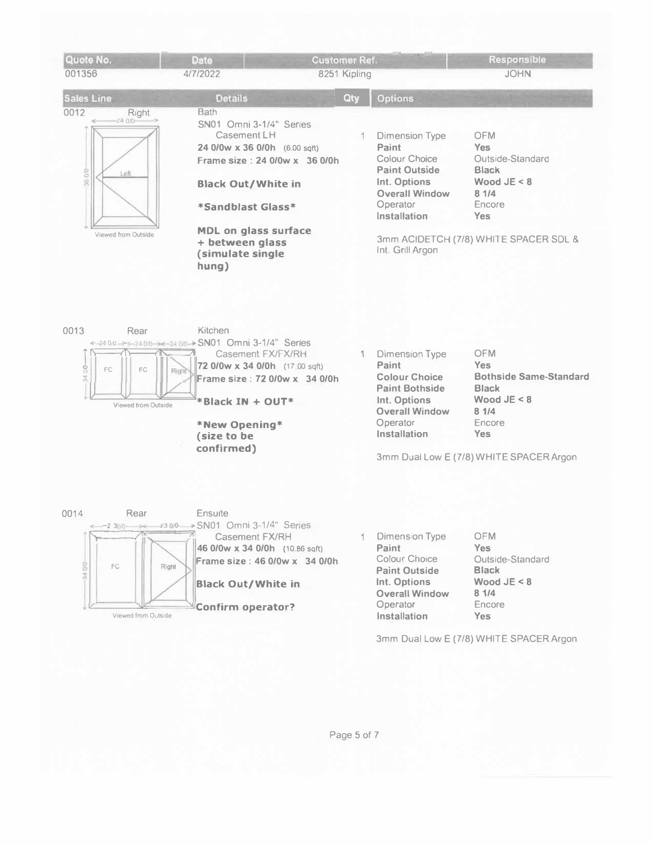

3mm Dual Low E (7/8) WHITE SPACER Argon